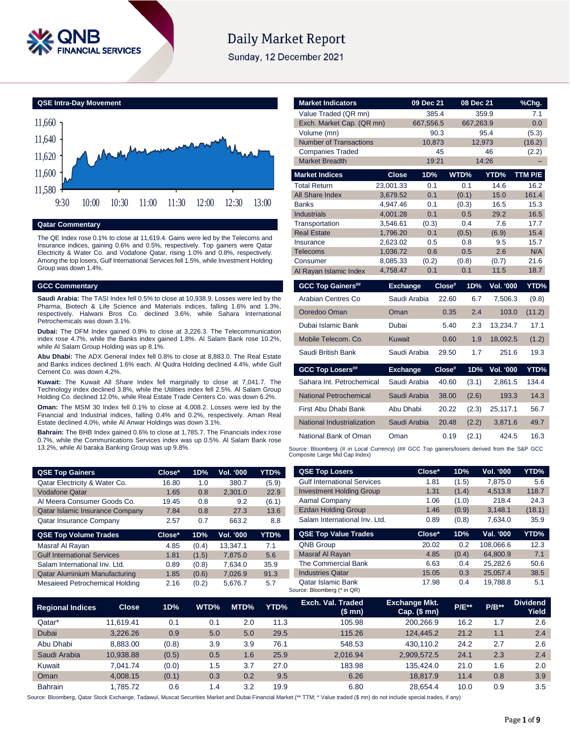

# **Daily Market Report**

Sunday, 12 December 2021

**QSE Intra-Day Movement**



#### **Qatar Commentary**

The QE Index rose 0.1% to close at 11,619.4. Gains were led by the Telecoms and Insurance indices, gaining 0.6% and 0.5%, respectively. Top gainers were Qatar Electricity & Water Co. and Vodafone Qatar, rising 1.0% and 0.8%, respectively. Among the top losers, Gulf International Services fell 1.5%, while Investment Holding Group was down 1.4%.

#### **GCC Commentary**

**Saudi Arabia:** The TASI Index fell 0.5% to close at 10,938.9. Losses were led by the Pharma, Biotech & Life Science and Materials indices, falling 1.6% and 1.3%, respectively. Halwani Bros Co. declined 3.6%, while Sahara International Petrochemicals was down 3.1%.

**Dubai:** The DFM Index gained 0.9% to close at 3,226.3. The Telecommunication index rose 4.7%, while the Banks index gained 1.8%. Al Salam Bank rose 10.2%, while Al Salam Group Holding was up 8.1%.

**Abu Dhabi:** The ADX General Index fell 0.8% to close at 8,883.0. The Real Estate and Banks indices declined 1.6% each. Al Qudra Holding declined 4.4%, while Gulf Cement Co. was down 4.2%.

**Kuwait:** The Kuwait All Share Index fell marginally to close at 7,041.7. The Technology index declined 3.8%, while the Utilities index fell 2.5%. Al Salam Group Holding Co. declined 12.0%, while Real Estate Trade Centers Co. was down 6.2%.

**Oman:** The MSM 30 Index fell 0.1% to close at 4,008.2. Losses were led by the Financial and Industrial indices, falling 0.4% and 0.2%, respectively. Aman Real Estate declined 4.0%, while Al Anwar Holdings was down 3.1%.

**Bahrain:** The BHB Index gained 0.6% to close at 1,785.7. The Financials index rose 0.7%, while the Communications Services index was up 0.5%. Al Salam Bank rose 13.2%, while Al baraka Banking Group was up 9.8%.

| <b>QSE Top Gainers</b>                 | Close* | 1D% | <b>Vol. '000</b> | YTD%  |
|----------------------------------------|--------|-----|------------------|-------|
| Qatar Electricity & Water Co.          | 16.80  | 1.0 | 380.7            | (5.9) |
| <b>Vodafone Qatar</b>                  | 1.65   | 0.8 | 2,301.0          | 22.9  |
| Al Meera Consumer Goods Co.            | 19.45  | 0.8 | 9.2              | (6.1) |
| <b>Qatar Islamic Insurance Company</b> | 7.84   | 0.8 | 27.3             | 13.6  |
| Qatar Insurance Company                | 2.57   | 0.7 | 663.2            | 8.8   |

| <b>QSE Top Volume Trades</b>         | Close* | 1D%   | <b>Vol. '000</b> | YTD% |
|--------------------------------------|--------|-------|------------------|------|
| Masraf Al Rayan                      | 4.85   | (0.4) | 13,347.1         | 7.1  |
| <b>Gulf International Services</b>   | 1.81   | (1.5) | 7.875.0          | 5.6  |
| Salam International Inv. Ltd.        | 0.89   | (0.8) | 7,634.0          | 35.9 |
| <b>Qatar Aluminium Manufacturing</b> | 1.85   | (0.6) | 7.026.9          | 91.3 |
| Mesaieed Petrochemical Holding       | 2.16   | (0.2) | 5,676.7          | 5.7  |

| <b>Market Indicators</b>                         |                      | 09 Dec 21    | 08 Dec 21      |                  | %Chq.        |
|--------------------------------------------------|----------------------|--------------|----------------|------------------|--------------|
| Value Traded (QR mn)                             |                      | 385.4        |                | 359.9            | 7.1          |
| Exch. Market Cap. (QR mn)                        |                      | 667,556.5    | 667,263.9      |                  | 0.0          |
| Volume (mn)                                      |                      | 90.3         |                | 95.4             | (5.3)        |
| <b>Number of Transactions</b>                    |                      | 10.873       |                | 12,973           | (16.2)       |
| <b>Companies Traded</b><br><b>Market Breadth</b> |                      | 45<br>19:21  |                | 46<br>14:26      | (2.2)        |
|                                                  |                      |              |                |                  |              |
| <b>Market Indices</b>                            | <b>Close</b>         | 1D%          | WTD%           | YTD%             | TTM P/E      |
| <b>Total Return</b>                              | 23.001.33            | 0.1          | 0.1            | 14.6             | 16.2         |
| All Share Index                                  | 3,679.52             | 0.1          | (0.1)          | 15.0             | 161.4        |
| <b>Banks</b>                                     | 4,947.46             | 0.1          | (0.3)          | 16.5             | 15.3         |
| <b>Industrials</b>                               | 4,001.28             | 0.1          | 0.5            | 29.2             | 16.5         |
| Transportation                                   | 3,546.61             | (0.3)<br>0.1 | 0.4            | 7.6              | 17.7         |
| <b>Real Estate</b><br>Insurance                  | 1,796.20<br>2,623.02 | 0.5          | (0.5)<br>0.8   | (6.9)<br>9.5     | 15.4<br>15.7 |
| <b>Telecoms</b>                                  | 1,036.72             | 0.6          | 0.5            | 2.6              | N/A          |
| Consumer                                         | 8,085.33             | (0.2)        | (0.8)          | (0.7)            | 21.6         |
| Al Rayan Islamic Index                           | 4,758.47             | 0.1          | 0.1            | 11.5             | 18.7         |
|                                                  |                      |              |                |                  |              |
| <b>GCC Top Gainers##</b>                         | <b>Exchange</b>      |              | 1D%<br>Close#  | Vol. '000        | YTD%         |
| Arabian Centres Co                               | Saudi Arabia         |              | 22.60<br>6.7   | 7,506.3          | (9.8)        |
| Ooredoo Oman                                     | Oman                 |              | 0.35<br>2.4    | 103.0            | (11.2)       |
| Dubai Islamic Bank                               | Dubai                |              | 5.40<br>2.3    | 13,234.7         | 17.1         |
| Mobile Telecom. Co.                              | Kuwait               |              | 0.60<br>1.9    | 18.092.5         | (1.2)        |
| Saudi British Bank                               | Saudi Arabia         |              | 29.50<br>1.7   | 251.6            | 19.3         |
| <b>GCC Top Losers##</b>                          | <b>Exchange</b>      |              | Close#<br>1D%  | <b>Vol. '000</b> | YTD%         |
| Sahara Int. Petrochemical                        | Saudi Arabia         |              | 40.60<br>(3.1) | 2,861.5          | 134.4        |
| <b>National Petrochemical</b>                    | Saudi Arabia         |              | 38.00<br>(2.6) | 193.3            | 14.3         |
| First Abu Dhabi Bank                             | Abu Dhabi            |              | 20.22<br>(2.3) | 25,117.1         | 56.7         |
| National Industrialization                       | Saudi Arabia         |              | 20.48<br>(2.2) | 3,871.6          | 49.7         |
|                                                  |                      |              |                |                  |              |
| National Bank of Oman                            | Oman                 |              | 0.19<br>(2.1)  | 424.5            | 16.3         |

| <b>QSE Top Losers</b>              | Close* | 1D%   | Vol. '000 | YTD%        |
|------------------------------------|--------|-------|-----------|-------------|
| <b>Gulf International Services</b> | 1.81   | (1.5) | 7,875.0   | 5.6         |
| <b>Investment Holding Group</b>    | 1.31   | (1.4) | 4,513.8   | 118.7       |
| Aamal Company                      | 1.06   | (1.0) | 218.4     | 24.3        |
| <b>Ezdan Holding Group</b>         | 1.46   | (0.9) | 3,148.1   | (18.1)      |
| Salam International Inv. Ltd.      | 0.89   | (0.8) | 7.634.0   | 35.9        |
| <b>QSE Top Value Trades</b>        | Close* | 1D%   | Val. '000 | <b>YTD%</b> |
| ONB Group                          | 20 US  | በ 2   | 108.066.6 | 12.3        |

| <b>QNB Group</b>                                         |                     | 20.02 | 0.2   | 108.066.6 | 12.3 |
|----------------------------------------------------------|---------------------|-------|-------|-----------|------|
| Masraf Al Rayan                                          |                     | 4.85  | (0.4) | 64.800.9  | 7.1  |
|                                                          | The Commercial Bank | 6.63  | 0.4   | 25.282.6  | 50.6 |
| <b>Industries Qatar</b>                                  |                     | 15.05 | 0.3   | 25.057.4  | 38.5 |
| <b>Qatar Islamic Bank</b><br>Source: Bloomberg (* in QR) |                     | 17.98 | 0.4   | 19.788.8  | 5.1  |

| <b>Regional Indices</b> | <b>Close</b> | 1D%   | WTD% | MTD% | YTD% | Exch. Val. Traded<br>(\$mn) | <b>Exchange Mkt.</b><br>Cap. $($$ mn $)$ | <b>P/E**</b> | $P/B**$ | <b>Dividend</b><br>Yield |
|-------------------------|--------------|-------|------|------|------|-----------------------------|------------------------------------------|--------------|---------|--------------------------|
| Qatar*                  | 11.619.41    | 0.1   | 0.1  | 2.0  | 11.3 | 105.98                      | 200.266.9                                | 16.2         | 1.7     | 2.6                      |
| Dubai                   | 3.226.26     | 0.9   | 5.0  | 5.0  | 29.5 | 115.26                      | 124.445.2                                | 21.2         | 1.1     | 2.4                      |
| Abu Dhabi               | 8.883.00     | (0.8) | 3.9  | 3.9  | 76.1 | 548.53                      | 430.110.2                                | 24.2         | 2.7     | 2.6                      |
| Saudi Arabia            | 10.938.88    | (0.5) | 0.5  | 1.6  | 25.9 | 2.016.94                    | 2,909,572.5                              | 24.1         | 2.3     | 2.4                      |
| Kuwait                  | 7.041.74     | (0.0) | 1.5  | 3.7  | 27.0 | 183.98                      | 135.424.0                                | 21.0         | 1.6     | 2.0                      |
| Oman                    | 4.008.15     | (0.1) | 0.3  | 0.2  | 9.5  | 6.26                        | 18.817.9                                 | 11.4         | 0.8     | 3.9                      |
| <b>Bahrain</b>          | .785.72      | 0.6   | 1.4  | 3.2  | 19.9 | 6.80                        | 28.654.4                                 | 10.0         | 0.9     | 3.5                      |

Source: Bloomberg, Qatar Stock Exchange, Tadawul, Muscat Securities Market and Dubai Financial Market (\*\* TTM; \* Value traded (\$ mn) do not include special trades, if any)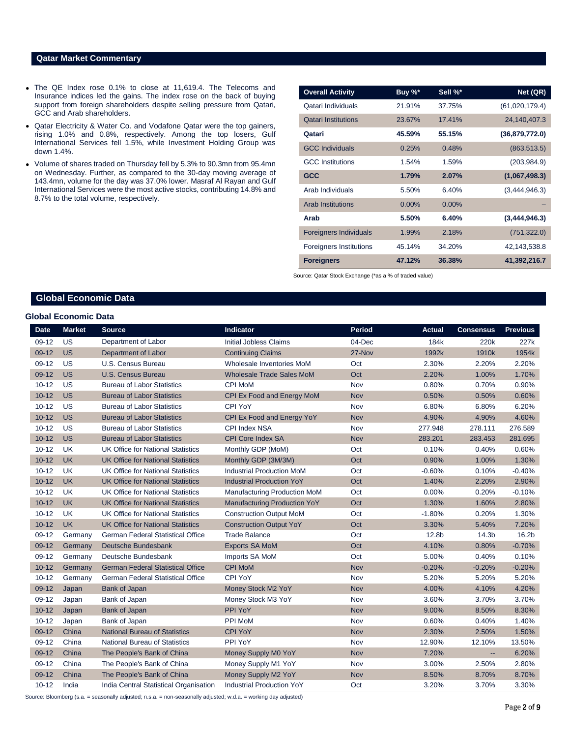#### **Qatar Market Commentary**

- The QE Index rose 0.1% to close at 11,619.4. The Telecoms and Insurance indices led the gains. The index rose on the back of buying support from foreign shareholders despite selling pressure from Qatari, GCC and Arab shareholders.
- Qatar Electricity & Water Co. and Vodafone Qatar were the top gainers, rising 1.0% and 0.8%, respectively. Among the top losers, Gulf International Services fell 1.5%, while Investment Holding Group was down 1.4%.
- Volume of shares traded on Thursday fell by 5.3% to 90.3mn from 95.4mn on Wednesday. Further, as compared to the 30-day moving average of 143.4mn, volume for the day was 37.0% lower. Masraf Al Rayan and Gulf International Services were the most active stocks, contributing 14.8% and 8.7% to the total volume, respectively.

| <b>Overall Activity</b>        | Buy %*   | Sell %*  | Net (QR)       |
|--------------------------------|----------|----------|----------------|
| Qatari Individuals             | 21.91%   | 37.75%   | (61,020,179.4) |
| <b>Qatari Institutions</b>     | 23.67%   | 17.41%   | 24,140,407.3   |
| Qatari                         | 45.59%   | 55.15%   | (36,879,772.0) |
| <b>GCC Individuals</b>         | 0.25%    | 0.48%    | (863, 513.5)   |
| <b>GCC Institutions</b>        | 1.54%    | 1.59%    | (203, 984.9)   |
| <b>GCC</b>                     | 1.79%    | 2.07%    | (1,067,498.3)  |
| Arab Individuals               | 5.50%    | 6.40%    | (3,444,946.3)  |
| <b>Arab Institutions</b>       | $0.00\%$ | $0.00\%$ |                |
| Arab                           | 5.50%    | 6.40%    | (3,444,946.3)  |
| <b>Foreigners Individuals</b>  | 1.99%    | 2.18%    | (751, 322.0)   |
| <b>Foreigners Institutions</b> | 45.14%   | 34.20%   | 42,143,538.8   |
| <b>Foreigners</b>              | 47.12%   | 36.38%   | 41,392,216.7   |

Source: Qatar Stock Exchange (\*as a % of traded value)

# **Global Economic Data**

## **Global Economic Data**

| <b>Date</b> | <b>Market</b> | <b>Source</b>                            | Indicator                           | <b>Period</b> | <b>Actual</b> | <b>Consensus</b>         | <b>Previous</b>   |
|-------------|---------------|------------------------------------------|-------------------------------------|---------------|---------------|--------------------------|-------------------|
| $09-12$     | <b>US</b>     | Department of Labor                      | Initial Jobless Claims              | 04-Dec        | 184k          | 220k                     | 227k              |
| $09-12$     | <b>US</b>     | Department of Labor                      | <b>Continuing Claims</b>            | 27-Nov        | 1992k         | 1910k                    | 1954k             |
| 09-12       | US            | U.S. Census Bureau                       | Wholesale Inventories MoM           | Oct           | 2.30%         | 2.20%                    | 2.20%             |
| 09-12       | <b>US</b>     | U.S. Census Bureau                       | <b>Wholesale Trade Sales MoM</b>    | Oct           | 2.20%         | 1.00%                    | 1.70%             |
| $10 - 12$   | US            | <b>Bureau of Labor Statistics</b>        | <b>CPI MoM</b>                      | Nov           | 0.80%         | 0.70%                    | 0.90%             |
| $10 - 12$   | <b>US</b>     | <b>Bureau of Labor Statistics</b>        | CPI Ex Food and Energy MoM          | <b>Nov</b>    | 0.50%         | 0.50%                    | 0.60%             |
| $10 - 12$   | <b>US</b>     | <b>Bureau of Labor Statistics</b>        | CPI YoY                             | Nov           | 6.80%         | 6.80%                    | 6.20%             |
| $10 - 12$   | <b>US</b>     | <b>Bureau of Labor Statistics</b>        | CPI Ex Food and Energy YoY          | <b>Nov</b>    | 4.90%         | 4.90%                    | 4.60%             |
| $10 - 12$   | US            | <b>Bureau of Labor Statistics</b>        | <b>CPI Index NSA</b>                | Nov           | 277.948       | 278.111                  | 276.589           |
| $10 - 12$   | <b>US</b>     | <b>Bureau of Labor Statistics</b>        | <b>CPI Core Index SA</b>            | <b>Nov</b>    | 283.201       | 283.453                  | 281.695           |
| $10 - 12$   | UK            | <b>UK Office for National Statistics</b> | Monthly GDP (MoM)                   | Oct           | 0.10%         | 0.40%                    | 0.60%             |
| $10 - 12$   | <b>UK</b>     | <b>UK Office for National Statistics</b> | Monthly GDP (3M/3M)                 | Oct           | 0.90%         | 1.00%                    | 1.30%             |
| $10 - 12$   | <b>UK</b>     | <b>UK Office for National Statistics</b> | <b>Industrial Production MoM</b>    | Oct           | $-0.60%$      | 0.10%                    | $-0.40%$          |
| $10 - 12$   | <b>UK</b>     | <b>UK Office for National Statistics</b> | <b>Industrial Production YoY</b>    | Oct           | 1.40%         | 2.20%                    | 2.90%             |
| $10 - 12$   | <b>UK</b>     | <b>UK Office for National Statistics</b> | <b>Manufacturing Production MoM</b> | Oct           | 0.00%         | 0.20%                    | $-0.10%$          |
| $10 - 12$   | <b>UK</b>     | <b>UK Office for National Statistics</b> | <b>Manufacturing Production YoY</b> | Oct           | 1.30%         | 1.60%                    | 2.80%             |
| $10 - 12$   | <b>UK</b>     | <b>UK Office for National Statistics</b> | <b>Construction Output MoM</b>      | Oct           | $-1.80%$      | 0.20%                    | 1.30%             |
| $10 - 12$   | <b>UK</b>     | <b>UK Office for National Statistics</b> | <b>Construction Output YoY</b>      | Oct           | 3.30%         | 5.40%                    | 7.20%             |
| $09-12$     | Germany       | <b>German Federal Statistical Office</b> | <b>Trade Balance</b>                | Oct           | 12.8b         | 14.3 <sub>b</sub>        | 16.2 <sub>b</sub> |
| 09-12       | Germany       | Deutsche Bundesbank                      | <b>Exports SA MoM</b>               | Oct           | 4.10%         | 0.80%                    | $-0.70%$          |
| $09-12$     | Germany       | Deutsche Bundesbank                      | Imports SA MoM                      | Oct           | 5.00%         | 0.40%                    | 0.10%             |
| $10 - 12$   | Germany       | <b>German Federal Statistical Office</b> | <b>CPI MoM</b>                      | <b>Nov</b>    | $-0.20%$      | $-0.20%$                 | $-0.20%$          |
| $10 - 12$   | Germany       | <b>German Federal Statistical Office</b> | CPI YoY                             | Nov           | 5.20%         | 5.20%                    | 5.20%             |
| $09-12$     | Japan         | <b>Bank of Japan</b>                     | Money Stock M2 YoY                  | Nov           | 4.00%         | 4.10%                    | 4.20%             |
| $09-12$     | Japan         | Bank of Japan                            | Money Stock M3 YoY                  | Nov           | 3.60%         | 3.70%                    | 3.70%             |
| $10 - 12$   | Japan         | <b>Bank of Japan</b>                     | PPI YoY                             | <b>Nov</b>    | 9.00%         | 8.50%                    | 8.30%             |
| $10 - 12$   | Japan         | Bank of Japan                            | <b>PPI MoM</b>                      | Nov           | 0.60%         | 0.40%                    | 1.40%             |
| $09-12$     | China         | <b>National Bureau of Statistics</b>     | <b>CPI YoY</b>                      | <b>Nov</b>    | 2.30%         | 2.50%                    | 1.50%             |
| $09-12$     | China         | <b>National Bureau of Statistics</b>     | PPI YoY                             | Nov           | 12.90%        | 12.10%                   | 13.50%            |
| $09-12$     | China         | The People's Bank of China               | Money Supply M0 YoY                 | <b>Nov</b>    | 7.20%         | $\overline{\phantom{a}}$ | 6.20%             |
| $09-12$     | China         | The People's Bank of China               | Money Supply M1 YoY                 | Nov           | 3.00%         | 2.50%                    | 2.80%             |
| $09-12$     | China         | The People's Bank of China               | Money Supply M2 YoY                 | <b>Nov</b>    | 8.50%         | 8.70%                    | 8.70%             |
| $10 - 12$   | India         | India Central Statistical Organisation   | <b>Industrial Production YoY</b>    | Oct           | 3.20%         | 3.70%                    | 3.30%             |

Source: Bloomberg (s.a. = seasonally adjusted; n.s.a. = non-seasonally adjusted; w.d.a. = working day adjusted)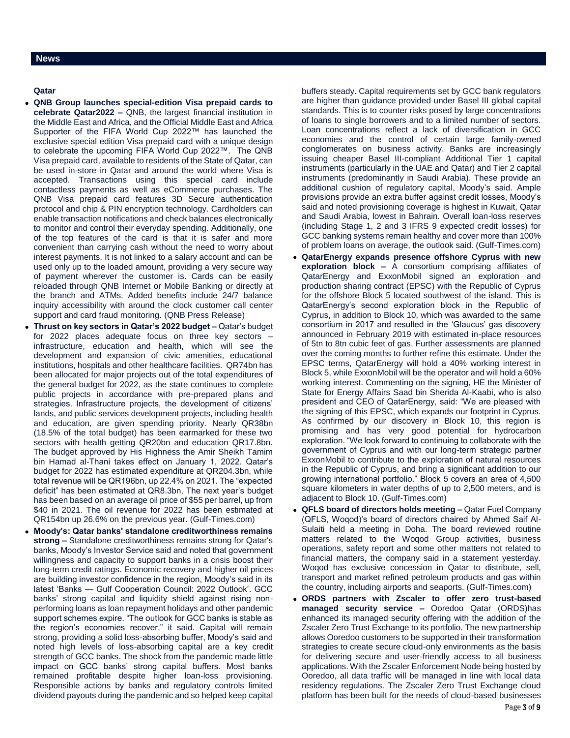### **Qatar**

- **QNB Group launches special-edition Visa prepaid cards to celebrate Qatar2022 –** QNB, the largest financial institution in the Middle East and Africa, and the Official Middle East and Africa Supporter of the FIFA World Cup 2022™ has launched the exclusive special edition Visa prepaid card with a unique design to celebrate the upcoming FIFA World Cup 2022™. The QNB Visa prepaid card, available to residents of the State of Qatar, can be used in-store in Qatar and around the world where Visa is accepted. Transactions using this special card include contactless payments as well as eCommerce purchases. The QNB Visa prepaid card features 3D Secure authentication protocol and chip & PIN encryption technology. Cardholders can enable transaction notifications and check balances electronically to monitor and control their everyday spending. Additionally, one of the top features of the card is that it is safer and more convenient than carrying cash without the need to worry about interest payments. It is not linked to a salary account and can be used only up to the loaded amount, providing a very secure way of payment wherever the customer is. Cards can be easily reloaded through QNB Internet or Mobile Banking or directly at the branch and ATMs. Added benefits include 24/7 balance inquiry accessibility with around the clock customer call center support and card fraud monitoring. (QNB Press Release)
- **Thrust on key sectors in Qatar's 2022 budget –** Qatar's budget for 2022 places adequate focus on three key sectors – infrastructure, education and health, which will see the development and expansion of civic amenities, educational institutions, hospitals and other healthcare facilities. QR74bn has been allocated for major projects out of the total expenditures of the general budget for 2022, as the state continues to complete public projects in accordance with pre-prepared plans and strategies. Infrastructure projects, the development of citizens' lands, and public services development projects, including health and education, are given spending priority. Nearly QR38bn (18.5% of the total budget) has been earmarked for these two sectors with health getting QR20bn and education QR17.8bn. The budget approved by His Highness the Amir Sheikh Tamim bin Hamad al-Thani takes effect on January 1, 2022. Qatar's budget for 2022 has estimated expenditure at QR204.3bn, while total revenue will be QR196bn, up 22.4% on 2021. The "expected deficit" has been estimated at QR8.3bn. The next year's budget has been based on an average oil price of \$55 per barrel, up from \$40 in 2021. The oil revenue for 2022 has been estimated at QR154bn up 26.6% on the previous year. (Gulf-Times.com)
- **Moody's: Qatar banks' standalone creditworthiness remains strong –** Standalone creditworthiness remains strong for Qatar's banks, Moody's Investor Service said and noted that government willingness and capacity to support banks in a crisis boost their long-term credit ratings. Economic recovery and higher oil prices are building investor confidence in the region, Moody's said in its latest 'Banks — Gulf Cooperation Council: 2022 Outlook'. GCC banks' strong capital and liquidity shield against rising nonperforming loans as loan repayment holidays and other pandemic support schemes expire. "The outlook for GCC banks is stable as the region's economies recover," it said. Capital will remain strong, providing a solid loss-absorbing buffer, Moody's said and noted high levels of loss-absorbing capital are a key credit strength of GCC banks. The shock from the pandemic made little impact on GCC banks' strong capital buffers. Most banks remained profitable despite higher loan-loss provisioning. Responsible actions by banks and regulatory controls limited dividend payouts during the pandemic and so helped keep capital

buffers steady. Capital requirements set by GCC bank regulators are higher than guidance provided under Basel III global capital standards. This is to counter risks posed by large concentrations of loans to single borrowers and to a limited number of sectors. Loan concentrations reflect a lack of diversification in GCC economies and the control of certain large family-owned conglomerates on business activity. Banks are increasingly issuing cheaper Basel III-compliant Additional Tier 1 capital instruments (particularly in the UAE and Qatar) and Tier 2 capital instruments (predominantly in Saudi Arabia). These provide an additional cushion of regulatory capital, Moody's said. Ample provisions provide an extra buffer against credit losses, Moody's said and noted provisioning coverage is highest in Kuwait, Qatar and Saudi Arabia, lowest in Bahrain. Overall loan-loss reserves (including Stage 1, 2 and 3 IFRS 9 expected credit losses) for GCC banking systems remain healthy and cover more than 100% of problem loans on average, the outlook said. (Gulf-Times.com)

- **QatarEnergy expands presence offshore Cyprus with new exploration block –** A consortium comprising affiliates of QatarEnergy and ExxonMobil signed an exploration and production sharing contract (EPSC) with the Republic of Cyprus for the offshore Block 5 located southwest of the island. This is QatarEnergy's second exploration block in the Republic of Cyprus, in addition to Block 10, which was awarded to the same consortium in 2017 and resulted in the 'Glaucus' gas discovery announced in February 2019 with estimated in-place resources of 5tn to 8tn cubic feet of gas. Further assessments are planned over the coming months to further refine this estimate. Under the EPSC terms, QatarEnergy will hold a 40% working interest in Block 5, while ExxonMobil will be the operator and will hold a 60% working interest. Commenting on the signing, HE the Minister of State for Energy Affairs Saad bin Sherida Al-Kaabi, who is also president and CEO of QatarEnergy, said: "We are pleased with the signing of this EPSC, which expands our footprint in Cyprus. As confirmed by our discovery in Block 10, this region is promising and has very good potential for hydrocarbon exploration. "We look forward to continuing to collaborate with the government of Cyprus and with our long-term strategic partner ExxonMobil to contribute to the exploration of natural resources in the Republic of Cyprus, and bring a significant addition to our growing international portfolio." Block 5 covers an area of 4,500 square kilometers in water depths of up to 2,500 meters, and is adjacent to Block 10. (Gulf-Times.com)
- **QFLS board of directors holds meeting –** Qatar Fuel Company (QFLS, Woqod)'s board of directors chaired by Ahmed Saif Al-Sulaiti held a meeting in Doha. The board reviewed routine matters related to the Woqod Group activities, business operations, safety report and some other matters not related to financial matters, the company said in a statement yesterday. Woqod has exclusive concession in Qatar to distribute, sell, transport and market refined petroleum products and gas within the country, including airports and seaports. (Gulf-Times.com)
- **ORDS partners with Zscaler to offer zero trust-based managed security service –** Ooredoo Qatar (ORDS)has enhanced its managed security offering with the addition of the Zscaler Zero Trust Exchange to its portfolio. The new partnership allows Ooredoo customers to be supported in their transformation strategies to create secure cloud-only environments as the basis for delivering secure and user-friendly access to all business applications. With the Zscaler Enforcement Node being hosted by Ooredoo, all data traffic will be managed in line with local data residency regulations. The Zscaler Zero Trust Exchange cloud platform has been built for the needs of cloud-based businesses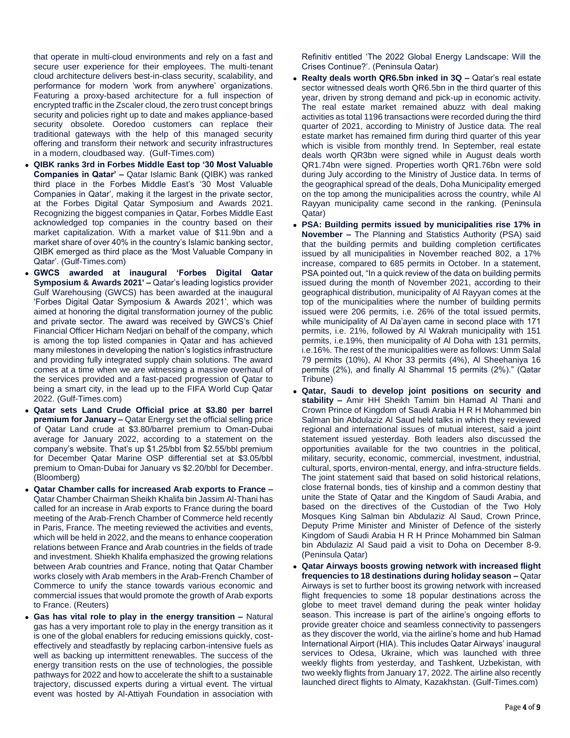that operate in multi-cloud environments and rely on a fast and secure user experience for their employees. The multi-tenant cloud architecture delivers best-in-class security, scalability, and performance for modern 'work from anywhere' organizations. Featuring a proxy-based architecture for a full inspection of encrypted traffic in the Zscaler cloud, the zero trust concept brings security and policies right up to date and makes appliance-based security obsolete. Ooredoo customers can replace their traditional gateways with the help of this managed security offering and transform their network and security infrastructures in a modern, cloudbased way. (Gulf-Times.com)

- **QIBK ranks 3rd in Forbes Middle East top '30 Most Valuable Companies in Qatar' –** Qatar Islamic Bank (QIBK) was ranked third place in the Forbes Middle East's '30 Most Valuable Companies in Qatar', making it the largest in the private sector, at the Forbes Digital Qatar Symposium and Awards 2021. Recognizing the biggest companies in Qatar, Forbes Middle East acknowledged top companies in the country based on their market capitalization. With a market value of \$11.9bn and a market share of over 40% in the country's Islamic banking sector, QIBK emerged as third place as the 'Most Valuable Company in Qatar'. (Gulf-Times.com)
- **GWCS awarded at inaugural 'Forbes Digital Qatar Symposium & Awards 2021' –** Qatar's leading logistics provider Gulf Warehousing (GWCS) has been awarded at the inaugural 'Forbes Digital Qatar Symposium & Awards 2021', which was aimed at honoring the digital transformation journey of the public and private sector. The award was received by GWCS's Chief Financial Officer Hicham Nedjari on behalf of the company, which is among the top listed companies in Qatar and has achieved many milestones in developing the nation's logistics infrastructure and providing fully integrated supply chain solutions. The award comes at a time when we are witnessing a massive overhaul of the services provided and a fast-paced progression of Qatar to being a smart city, in the lead up to the FIFA World Cup Qatar 2022. (Gulf-Times.com)
- **Qatar sets Land Crude Official price at \$3.80 per barrel premium for January –** Qatar Energy set the official selling price of Qatar Land crude at \$3.80/barrel premium to Oman-Dubai average for January 2022, according to a statement on the company's website. That's up \$1.25/bbl from \$2.55/bbl premium for December Qatar Marine OSP differential set at \$3.05/bbl premium to Oman-Dubai for January vs \$2.20/bbl for December. (Bloomberg)
- **Qatar Chamber calls for increased Arab exports to France –** Qatar Chamber Chairman Sheikh Khalifa bin Jassim Al-Thani has called for an increase in Arab exports to France during the board meeting of the Arab-French Chamber of Commerce held recently in Paris, France. The meeting reviewed the activities and events, which will be held in 2022, and the means to enhance cooperation relations between France and Arab countries in the fields of trade and investment. Shiekh Khalifa emphasized the growing relations between Arab countries and France, noting that Qatar Chamber works closely with Arab members in the Arab-French Chamber of Commerce to unify the stance towards various economic and commercial issues that would promote the growth of Arab exports to France. (Reuters)
- **Gas has vital role to play in the energy transition –** Natural gas has a very important role to play in the energy transition as it is one of the global enablers for reducing emissions quickly, costeffectively and steadfastly by replacing carbon-intensive fuels as well as backing up intermittent renewables. The success of the energy transition rests on the use of technologies, the possible pathways for 2022 and how to accelerate the shift to a sustainable trajectory, discussed experts during a virtual event. The virtual event was hosted by Al-Attiyah Foundation in association with

Refinitiv entitled 'The 2022 Global Energy Landscape: Will the Crises Continue?'. (Peninsula Qatar)

- **Realty deals worth QR6.5bn inked in 3Q –** Qatar's real estate sector witnessed deals worth QR6.5bn in the third quarter of this year, driven by strong demand and pick-up in economic activity. The real estate market remained abuzz with deal making activities as total 1196 transactions were recorded during the third quarter of 2021, according to Ministry of Justice data. The real estate market has remained firm during third quarter of this year which is visible from monthly trend. In September, real estate deals worth QR3bn were signed while in August deals worth QR1.74bn were signed. Properties worth QR1.76bn were sold during July according to the Ministry of Justice data. In terms of the geographical spread of the deals, Doha Municipality emerged on the top among the municipalities across the country, while Al Rayyan municipality came second in the ranking. (Peninsula Qatar)
- **PSA: Building permits issued by municipalities rise 17% in November –** The Planning and Statistics Authority (PSA) said that the building permits and building completion certificates issued by all municipalities in November reached 802, a 17% increase, compared to 685 permits in October. In a statement, PSA pointed out, "In a quick review of the data on building permits issued during the month of November 2021, according to their geographical distribution, municipality of Al Rayyan comes at the top of the municipalities where the number of building permits issued were 206 permits, i.e. 26% of the total issued permits, while municipality of Al Da'ayen came in second place with 171 permits, i.e. 21%, followed by Al Wakrah municipality with 151 permits, i.e.19%, then municipality of Al Doha with 131 permits, i.e.16%. The rest of the municipalities were as follows: Umm Salal 79 permits (10%), Al Khor 33 permits (4%), Al Sheehaniya 16 permits (2%), and finally Al Shammal 15 permits (2%)." (Qatar Tribune)
- **Qatar, Saudi to develop joint positions on security and stability –** Amir HH Sheikh Tamim bin Hamad Al Thani and Crown Prince of Kingdom of Saudi Arabia H R H Mohammed bin Salman bin Abdulaziz Al Saud held talks in which they reviewed regional and international issues of mutual interest, said a joint statement issued yesterday. Both leaders also discussed the opportunities available for the two countries in the political, military, security, economic, commercial, investment, industrial, cultural, sports, environ-mental, energy, and infra-structure fields. The joint statement said that based on solid historical relations, close fraternal bonds, ties of kinship and a common destiny that unite the State of Qatar and the Kingdom of Saudi Arabia, and based on the directives of the Custodian of the Two Holy Mosques King Salman bin Abdulaziz Al Saud, Crown Prince, Deputy Prime Minister and Minister of Defence of the sisterly Kingdom of Saudi Arabia H R H Prince Mohammed bin Salman bin Abdulaziz Al Saud paid a visit to Doha on December 8-9. (Peninsula Qatar)
- **Qatar Airways boosts growing network with increased flight frequencies to 18 destinations during holiday season –** Qatar Airways is set to further boost its growing network with increased flight frequencies to some 18 popular destinations across the globe to meet travel demand during the peak winter holiday season. This increase is part of the airline's ongoing efforts to provide greater choice and seamless connectivity to passengers as they discover the world, via the airline's home and hub Hamad International Airport (HIA). This includes Qatar Airways' inaugural services to Odesa, Ukraine, which was launched with three weekly flights from yesterday, and Tashkent, Uzbekistan, with two weekly flights from January 17, 2022. The airline also recently launched direct flights to Almaty, Kazakhstan. (Gulf-Times.com)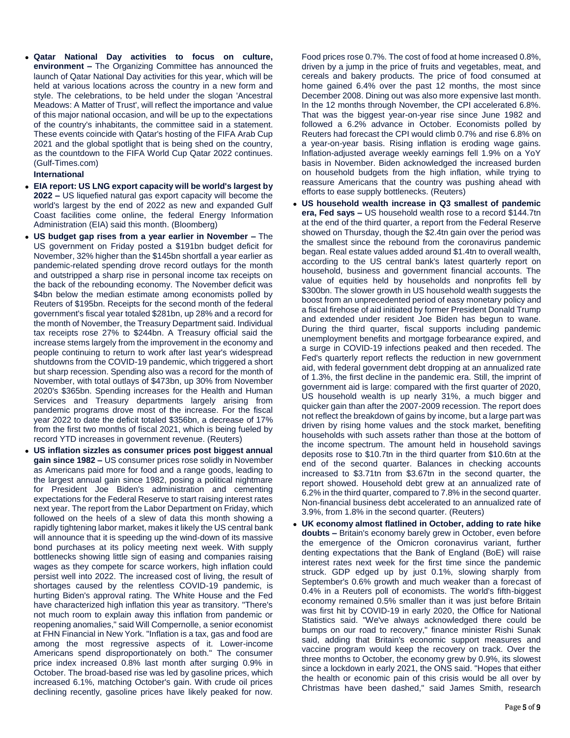**Qatar National Day activities to focus on culture, environment –** The Organizing Committee has announced the launch of Qatar National Day activities for this year, which will be held at various locations across the country in a new form and style. The celebrations, to be held under the slogan 'Ancestral Meadows: A Matter of Trust', will reflect the importance and value of this major national occasion, and will be up to the expectations of the country's inhabitants, the committee said in a statement. These events coincide with Qatar's hosting of the FIFA Arab Cup 2021 and the global spotlight that is being shed on the country, as the countdown to the FIFA World Cup Qatar 2022 continues. (Gulf-Times.com)

#### **International**

- **EIA report: US LNG export capacity will be world's largest by 2022 –** US liquefied natural gas export capacity will become the world's largest by the end of 2022 as new and expanded Gulf Coast facilities come online, the federal Energy Information Administration (EIA) said this month. (Bloomberg)
- **US budget gap rises from a year earlier in November –** The US government on Friday posted a \$191bn budget deficit for November, 32% higher than the \$145bn shortfall a year earlier as pandemic-related spending drove record outlays for the month and outstripped a sharp rise in personal income tax receipts on the back of the rebounding economy. The November deficit was \$4bn below the median estimate among economists polled by Reuters of \$195bn. Receipts for the second month of the federal government's fiscal year totaled \$281bn, up 28% and a record for the month of November, the Treasury Department said. Individual tax receipts rose 27% to \$244bn. A Treasury official said the increase stems largely from the improvement in the economy and people continuing to return to work after last year's widespread shutdowns from the COVID-19 pandemic, which triggered a short but sharp recession. Spending also was a record for the month of November, with total outlays of \$473bn, up 30% from November 2020's \$365bn. Spending increases for the Health and Human Services and Treasury departments largely arising from pandemic programs drove most of the increase. For the fiscal year 2022 to date the deficit totaled \$356bn, a decrease of 17% from the first two months of fiscal 2021, which is being fueled by record YTD increases in government revenue. (Reuters)
- **US inflation sizzles as consumer prices post biggest annual gain since 1982 –** US consumer prices rose solidly in November as Americans paid more for food and a range goods, leading to the largest annual gain since 1982, posing a political nightmare for President Joe Biden's administration and cementing expectations for the Federal Reserve to start raising interest rates next year. The report from the Labor Department on Friday, which followed on the heels of a slew of data this month showing a rapidly tightening labor market, makes it likely the US central bank will announce that it is speeding up the wind-down of its massive bond purchases at its policy meeting next week. With supply bottlenecks showing little sign of easing and companies raising wages as they compete for scarce workers, high inflation could persist well into 2022. The increased cost of living, the result of shortages caused by the relentless COVID-19 pandemic, is hurting Biden's approval rating. The White House and the Fed have characterized high inflation this year as transitory. "There's not much room to explain away this inflation from pandemic or reopening anomalies," said Will Compernolle, a senior economist at FHN Financial in New York. "Inflation is a tax, gas and food are among the most regressive aspects of it. Lower-income Americans spend disproportionately on both." The consumer price index increased 0.8% last month after surging 0.9% in October. The broad-based rise was led by gasoline prices, which increased 6.1%, matching October's gain. With crude oil prices declining recently, gasoline prices have likely peaked for now.

Food prices rose 0.7%. The cost of food at home increased 0.8%, driven by a jump in the price of fruits and vegetables, meat, and cereals and bakery products. The price of food consumed at home gained 6.4% over the past 12 months, the most since December 2008. Dining out was also more expensive last month. In the 12 months through November, the CPI accelerated 6.8%. That was the biggest year-on-year rise since June 1982 and followed a 6.2% advance in October. Economists polled by Reuters had forecast the CPI would climb 0.7% and rise 6.8% on a year-on-year basis. Rising inflation is eroding wage gains. Inflation-adjusted average weekly earnings fell 1.9% on a YoY basis in November. Biden acknowledged the increased burden on household budgets from the high inflation, while trying to reassure Americans that the country was pushing ahead with efforts to ease supply bottlenecks. (Reuters)

- **US household wealth increase in Q3 smallest of pandemic era, Fed says –** US household wealth rose to a record \$144.7tn at the end of the third quarter, a report from the Federal Reserve showed on Thursday, though the \$2.4tn gain over the period was the smallest since the rebound from the coronavirus pandemic began. Real estate values added around \$1.4tn to overall wealth, according to the US central bank's latest quarterly report on household, business and government financial accounts. The value of equities held by households and nonprofits fell by \$300bn. The slower growth in US household wealth suggests the boost from an unprecedented period of easy monetary policy and a fiscal firehose of aid initiated by former President Donald Trump and extended under resident Joe Biden has begun to wane. During the third quarter, fiscal supports including pandemic unemployment benefits and mortgage forbearance expired, and a surge in COVID-19 infections peaked and then receded. The Fed's quarterly report reflects the reduction in new government aid, with federal government debt dropping at an annualized rate of 1.3%, the first decline in the pandemic era. Still, the imprint of government aid is large: compared with the first quarter of 2020, US household wealth is up nearly 31%, a much bigger and quicker gain than after the 2007-2009 recession. The report does not reflect the breakdown of gains by income, but a large part was driven by rising home values and the stock market, benefiting households with such assets rather than those at the bottom of the income spectrum. The amount held in household savings deposits rose to \$10.7tn in the third quarter from \$10.6tn at the end of the second quarter. Balances in checking accounts increased to \$3.71tn from \$3.67tn in the second quarter, the report showed. Household debt grew at an annualized rate of 6.2% in the third quarter, compared to 7.8% in the second quarter. Non-financial business debt accelerated to an annualized rate of 3.9%, from 1.8% in the second quarter. (Reuters)
- **UK economy almost flatlined in October, adding to rate hike doubts –** Britain's economy barely grew in October, even before the emergence of the Omicron coronavirus variant, further denting expectations that the Bank of England (BoE) will raise interest rates next week for the first time since the pandemic struck. GDP edged up by just 0.1%, slowing sharply from September's 0.6% growth and much weaker than a forecast of 0.4% in a Reuters poll of economists. The world's fifth-biggest economy remained 0.5% smaller than it was just before Britain was first hit by COVID-19 in early 2020, the Office for National Statistics said. "We've always acknowledged there could be bumps on our road to recovery," finance minister Rishi Sunak said, adding that Britain's economic support measures and vaccine program would keep the recovery on track. Over the three months to October, the economy grew by 0.9%, its slowest since a lockdown in early 2021, the ONS said. "Hopes that either the health or economic pain of this crisis would be all over by Christmas have been dashed," said James Smith, research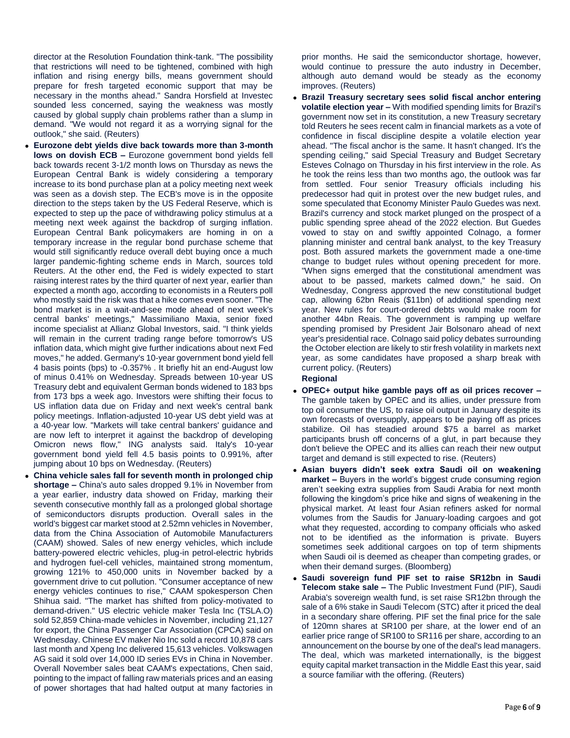director at the Resolution Foundation think-tank. "The possibility that restrictions will need to be tightened, combined with high inflation and rising energy bills, means government should prepare for fresh targeted economic support that may be necessary in the months ahead." Sandra Horsfield at Investec sounded less concerned, saying the weakness was mostly caused by global supply chain problems rather than a slump in demand. "We would not regard it as a worrying signal for the outlook," she said. (Reuters)

- **Eurozone debt yields dive back towards more than 3-month lows on dovish ECB –** Eurozone government bond yields fell back towards recent 3-1/2 month lows on Thursday as news the European Central Bank is widely considering a temporary increase to its bond purchase plan at a policy meeting next week was seen as a dovish step. The ECB's move is in the opposite direction to the steps taken by the US Federal Reserve, which is expected to step up the pace of withdrawing policy stimulus at a meeting next week against the backdrop of surging inflation. European Central Bank policymakers are homing in on a temporary increase in the regular bond purchase scheme that would still significantly reduce overall debt buying once a much larger pandemic-fighting scheme ends in March, sources told Reuters. At the other end, the Fed is widely expected to start raising interest rates by the third quarter of next year, earlier than expected a month ago, according to economists in a Reuters poll who mostly said the risk was that a hike comes even sooner. "The bond market is in a wait-and-see mode ahead of next week's central banks' meetings," Massimiliano Maxia, senior fixed income specialist at Allianz Global Investors, said. "I think yields will remain in the current trading range before tomorrow's US inflation data, which might give further indications about next Fed moves," he added. Germany's 10-year government bond yield fell 4 basis points (bps) to -0.357% . It briefly hit an end-August low of minus 0.41% on Wednesday. Spreads between 10-year US Treasury debt and equivalent German bonds widened to 183 bps from 173 bps a week ago. Investors were shifting their focus to US inflation data due on Friday and next week's central bank policy meetings. Inflation-adjusted 10-year US debt yield was at a 40-year low. "Markets will take central bankers' guidance and are now left to interpret it against the backdrop of developing Omicron news flow," ING analysts said. Italy's 10-year government bond yield fell 4.5 basis points to 0.991%, after jumping about 10 bps on Wednesday. (Reuters)
- **China vehicle sales fall for seventh month in prolonged chip shortage –** China's auto sales dropped 9.1% in November from a year earlier, industry data showed on Friday, marking their seventh consecutive monthly fall as a prolonged global shortage of semiconductors disrupts production. Overall sales in the world's biggest car market stood at 2.52mn vehicles in November, data from the China Association of Automobile Manufacturers (CAAM) showed. Sales of new energy vehicles, which include battery-powered electric vehicles, plug-in petrol-electric hybrids and hydrogen fuel-cell vehicles, maintained strong momentum, growing 121% to 450,000 units in November backed by a government drive to cut pollution. "Consumer acceptance of new energy vehicles continues to rise," CAAM spokesperson Chen Shihua said. "The market has shifted from policy-motivated to demand-driven." US electric vehicle maker Tesla Inc (TSLA.O) sold 52,859 China-made vehicles in November, including 21,127 for export, the China Passenger Car Association (CPCA) said on Wednesday. Chinese EV maker Nio Inc sold a record 10,878 cars last month and Xpeng Inc delivered 15,613 vehicles. Volkswagen AG said it sold over 14,000 ID series EVs in China in November. Overall November sales beat CAAM's expectations, Chen said, pointing to the impact of falling raw materials prices and an easing of power shortages that had halted output at many factories in

prior months. He said the semiconductor shortage, however, would continue to pressure the auto industry in December, although auto demand would be steady as the economy improves. (Reuters)

 **Brazil Treasury secretary sees solid fiscal anchor entering volatile election year –** With modified spending limits for Brazil's government now set in its constitution, a new Treasury secretary told Reuters he sees recent calm in financial markets as a vote of confidence in fiscal discipline despite a volatile election year ahead. "The fiscal anchor is the same. It hasn't changed. It's the spending ceiling," said Special Treasury and Budget Secretary Esteves Colnago on Thursday in his first interview in the role. As he took the reins less than two months ago, the outlook was far from settled. Four senior Treasury officials including his predecessor had quit in protest over the new budget rules, and some speculated that Economy Minister Paulo Guedes was next. Brazil's currency and stock market plunged on the prospect of a public spending spree ahead of the 2022 election. But Guedes vowed to stay on and swiftly appointed Colnago, a former planning minister and central bank analyst, to the key Treasury post. Both assured markets the government made a one-time change to budget rules without opening precedent for more. "When signs emerged that the constitutional amendment was about to be passed, markets calmed down," he said. On Wednesday, Congress approved the new constitutional budget cap, allowing 62bn Reais (\$11bn) of additional spending next year. New rules for court-ordered debts would make room for another 44bn Reais. The government is ramping up welfare spending promised by President Jair Bolsonaro ahead of next year's presidential race. Colnago said policy debates surrounding the October election are likely to stir fresh volatility in markets next year, as some candidates have proposed a sharp break with current policy. (Reuters)

#### **Regional**

- **OPEC+ output hike gamble pays off as oil prices recover –** The gamble taken by OPEC and its allies, under pressure from top oil consumer the US, to raise oil output in January despite its own forecasts of oversupply, appears to be paying off as prices stabilize. Oil has steadied around \$75 a barrel as market participants brush off concerns of a glut, in part because they don't believe the OPEC and its allies can reach their new output target and demand is still expected to rise. (Reuters)
- **Asian buyers didn't seek extra Saudi oil on weakening market –** Buyers in the world's biggest crude consuming region aren't seeking extra supplies from Saudi Arabia for next month following the kingdom's price hike and signs of weakening in the physical market. At least four Asian refiners asked for normal volumes from the Saudis for January-loading cargoes and got what they requested, according to company officials who asked not to be identified as the information is private. Buyers sometimes seek additional cargoes on top of term shipments when Saudi oil is deemed as cheaper than competing grades, or when their demand surges. (Bloomberg)
- **Saudi sovereign fund PIF set to raise SR12bn in Saudi Telecom stake sale –** The Public Investment Fund (PIF), Saudi Arabia's sovereign wealth fund, is set raise SR12bn through the sale of a 6% stake in Saudi Telecom (STC) after it priced the deal in a secondary share offering. PIF set the final price for the sale of 120mn shares at SR100 per share, at the lower end of an earlier price range of SR100 to SR116 per share, according to an announcement on the bourse by one of the deal's lead managers. The deal, which was marketed internationally, is the biggest equity capital market transaction in the Middle East this year, said a source familiar with the offering. (Reuters)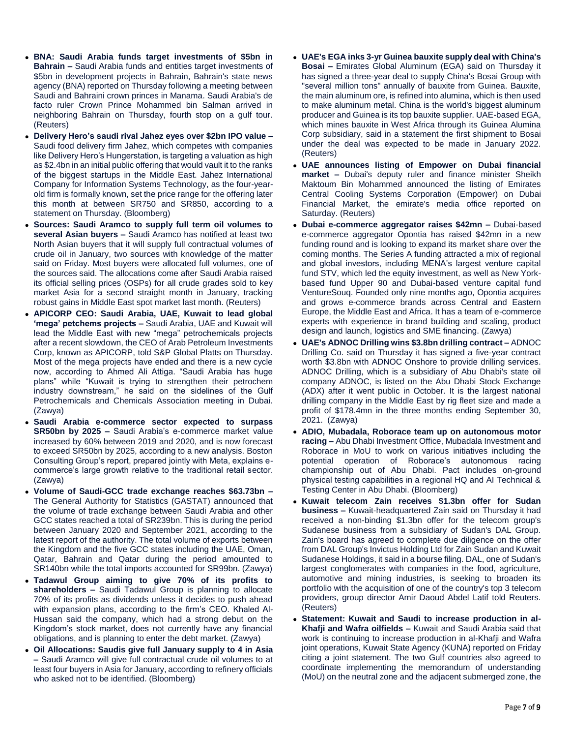- **BNA: Saudi Arabia funds target investments of \$5bn in Bahrain –** Saudi Arabia funds and entities target investments of \$5bn in development projects in Bahrain, Bahrain's state news agency (BNA) reported on Thursday following a meeting between Saudi and Bahraini crown princes in Manama. Saudi Arabia's de facto ruler Crown Prince Mohammed bin Salman arrived in neighboring Bahrain on Thursday, fourth stop on a gulf tour. (Reuters)
- **Delivery Hero's saudi rival Jahez eyes over \$2bn IPO value –** Saudi food delivery firm Jahez, which competes with companies like Delivery Hero's Hungerstation, is targeting a valuation as high as \$2.4bn in an initial public offering that would vault it to the ranks of the biggest startups in the Middle East. Jahez International Company for Information Systems Technology, as the four-yearold firm is formally known, set the price range for the offering later this month at between SR750 and SR850, according to a statement on Thursday. (Bloomberg)
- **Sources: Saudi Aramco to supply full term oil volumes to several Asian buyers –** Saudi Aramco has notified at least two North Asian buyers that it will supply full contractual volumes of crude oil in January, two sources with knowledge of the matter said on Friday. Most buyers were allocated full volumes, one of the sources said. The allocations come after Saudi Arabia raised its official selling prices (OSPs) for all crude grades sold to key market Asia for a second straight month in January, tracking robust gains in Middle East spot market last month. (Reuters)
- **APICORP CEO: Saudi Arabia, UAE, Kuwait to lead global 'mega' petchems projects –** Saudi Arabia, UAE and Kuwait will lead the Middle East with new "mega" petrochemicals projects after a recent slowdown, the CEO of Arab Petroleum Investments Corp, known as APICORP, told S&P Global Platts on Thursday. Most of the mega projects have ended and there is a new cycle now, according to Ahmed Ali Attiga. "Saudi Arabia has huge plans" while "Kuwait is trying to strengthen their petrochem industry downstream," he said on the sidelines of the Gulf Petrochemicals and Chemicals Association meeting in Dubai. (Zawya)
- **Saudi Arabia e-commerce sector expected to surpass SR50bn by 2025 –** Saudi Arabia's e-commerce market value increased by 60% between 2019 and 2020, and is now forecast to exceed SR50bn by 2025, according to a new analysis. Boston Consulting Group's report, prepared jointly with Meta, explains ecommerce's large growth relative to the traditional retail sector. (Zawya)
- **Volume of Saudi-GCC trade exchange reaches \$63.73bn –** The General Authority for Statistics (GASTAT) announced that the volume of trade exchange between Saudi Arabia and other GCC states reached a total of SR239bn. This is during the period between January 2020 and September 2021, according to the latest report of the authority. The total volume of exports between the Kingdom and the five GCC states including the UAE, Oman, Qatar, Bahrain and Qatar during the period amounted to SR140bn while the total imports accounted for SR99bn. (Zawya)
- **Tadawul Group aiming to give 70% of its profits to shareholders –** Saudi Tadawul Group is planning to allocate 70% of its profits as dividends unless it decides to push ahead with expansion plans, according to the firm's CEO. Khaled Al-Hussan said the company, which had a strong debut on the Kingdom's stock market, does not currently have any financial obligations, and is planning to enter the debt market. (Zawya)
- **Oil Allocations: Saudis give full January supply to 4 in Asia –** Saudi Aramco will give full contractual crude oil volumes to at least four buyers in Asia for January, according to refinery officials who asked not to be identified. (Bloomberg)
- **UAE's EGA inks 3-yr Guinea bauxite supply deal with China's Bosai –** Emirates Global Aluminum (EGA) said on Thursday it has signed a three-year deal to supply China's Bosai Group with "several million tons" annually of bauxite from Guinea. Bauxite, the main aluminum ore, is refined into alumina, which is then used to make aluminum metal. China is the world's biggest aluminum producer and Guinea is its top bauxite supplier. UAE-based EGA, which mines bauxite in West Africa through its Guinea Alumina Corp subsidiary, said in a statement the first shipment to Bosai under the deal was expected to be made in January 2022. (Reuters)
- **UAE announces listing of Empower on Dubai financial market –** Dubai's deputy ruler and finance minister Sheikh Maktoum Bin Mohammed announced the listing of Emirates Central Cooling Systems Corporation (Empower) on Dubai Financial Market, the emirate's media office reported on Saturday. (Reuters)
- **Dubai e-commerce aggregator raises \$42mn –** Dubai-based e-commerce aggregator Opontia has raised \$42mn in a new funding round and is looking to expand its market share over the coming months. The Series A funding attracted a mix of regional and global investors, including MENA's largest venture capital fund STV, which led the equity investment, as well as New Yorkbased fund Upper 90 and Dubai-based venture capital fund VentureSouq. Founded only nine months ago, Opontia acquires and grows e-commerce brands across Central and Eastern Europe, the Middle East and Africa. It has a team of e-commerce experts with experience in brand building and scaling, product design and launch, logistics and SME financing. (Zawya)
- **UAE's ADNOC Drilling wins \$3.8bn drilling contract –** ADNOC Drilling Co. said on Thursday it has signed a five-year contract worth \$3.8bn with ADNOC Onshore to provide drilling services. ADNOC Drilling, which is a subsidiary of Abu Dhabi's state oil company ADNOC, is listed on the Abu Dhabi Stock Exchange (ADX) after it went public in October. It is the largest national drilling company in the Middle East by rig fleet size and made a profit of \$178.4mn in the three months ending September 30, 2021. (Zawya)
- **ADIO, Mubadala, Roborace team up on autonomous motor racing –** Abu Dhabi Investment Office, Mubadala Investment and Roborace in MoU to work on various initiatives including the potential operation of Roborace's autonomous racing championship out of Abu Dhabi. Pact includes on-ground physical testing capabilities in a regional HQ and AI Technical & Testing Center in Abu Dhabi. (Bloomberg)
- **Kuwait telecom Zain receives \$1.3bn offer for Sudan business –** Kuwait-headquartered Zain said on Thursday it had received a non-binding \$1.3bn offer for the telecom group's Sudanese business from a subsidiary of Sudan's DAL Group. Zain's board has agreed to complete due diligence on the offer from DAL Group's Invictus Holding Ltd for Zain Sudan and Kuwait Sudanese Holdings, it said in a bourse filing. DAL, one of Sudan's largest conglomerates with companies in the food, agriculture, automotive and mining industries, is seeking to broaden its portfolio with the acquisition of one of the country's top 3 telecom providers, group director Amir Daoud Abdel Latif told Reuters. (Reuters)
- **Statement: Kuwait and Saudi to increase production in al-Khafji and Wafra oilfields –** Kuwait and Saudi Arabia said that work is continuing to increase production in al-Khafji and Wafra joint operations, Kuwait State Agency (KUNA) reported on Friday citing a joint statement. The two Gulf countries also agreed to coordinate implementing the memorandum of understanding (MoU) on the neutral zone and the adjacent submerged zone, the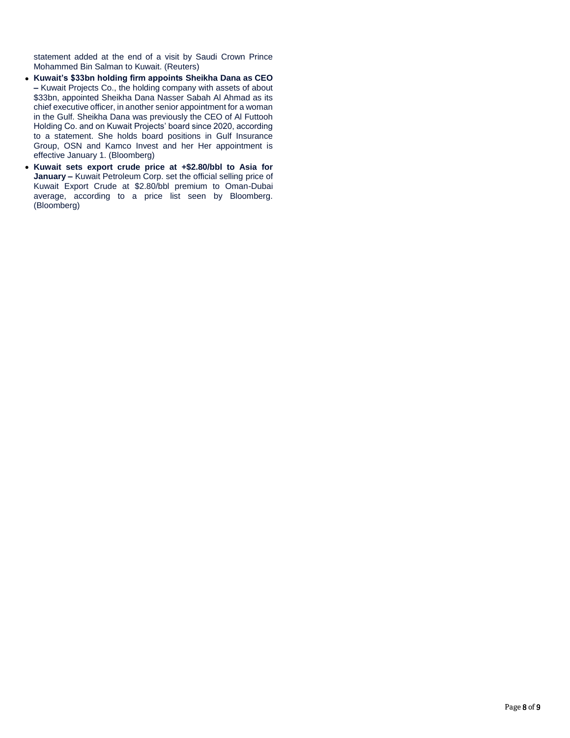statement added at the end of a visit by Saudi Crown Prince Mohammed Bin Salman to Kuwait. (Reuters)

- **Kuwait's \$33bn holding firm appoints Sheikha Dana as CEO –** Kuwait Projects Co., the holding company with assets of about \$33bn, appointed Sheikha Dana Nasser Sabah Al Ahmad as its chief executive officer, in another senior appointment for a woman in the Gulf. Sheikha Dana was previously the CEO of Al Futtooh Holding Co. and on Kuwait Projects' board since 2020, according to a statement. She holds board positions in Gulf Insurance Group, OSN and Kamco Invest and her Her appointment is effective January 1. (Bloomberg)
- **Kuwait sets export crude price at +\$2.80/bbl to Asia for January –** Kuwait Petroleum Corp. set the official selling price of Kuwait Export Crude at \$2.80/bbl premium to Oman-Dubai average, according to a price list seen by Bloomberg. (Bloomberg)